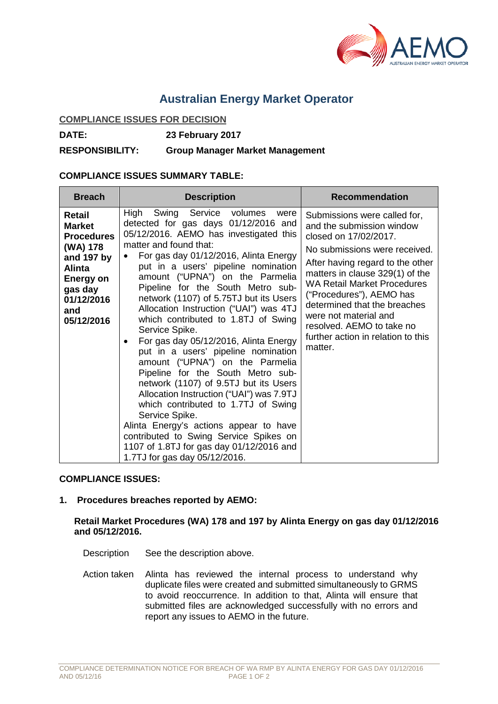

# **Australian Energy Market Operator**

#### **COMPLIANCE ISSUES FOR DECISION**

**DATE: 23 February 2017**

**RESPONSIBILITY: Group Manager Market Management**

## **COMPLIANCE ISSUES SUMMARY TABLE:**

| <b>Breach</b>                                                                                                                                      | <b>Description</b>                                                                                                                                                                                                                                                                                                                                                                                                                                                                                                                                                                                                                                                                                                                                                                                                                                                                                                            | <b>Recommendation</b>                                                                                                                                                                                                                                                                                                                                                                               |
|----------------------------------------------------------------------------------------------------------------------------------------------------|-------------------------------------------------------------------------------------------------------------------------------------------------------------------------------------------------------------------------------------------------------------------------------------------------------------------------------------------------------------------------------------------------------------------------------------------------------------------------------------------------------------------------------------------------------------------------------------------------------------------------------------------------------------------------------------------------------------------------------------------------------------------------------------------------------------------------------------------------------------------------------------------------------------------------------|-----------------------------------------------------------------------------------------------------------------------------------------------------------------------------------------------------------------------------------------------------------------------------------------------------------------------------------------------------------------------------------------------------|
| Retail<br><b>Market</b><br><b>Procedures</b><br>(WA) 178<br>and 197 by<br><b>Alinta</b><br>Energy on<br>gas day<br>01/12/2016<br>and<br>05/12/2016 | Swing Service volumes<br>High<br>were<br>detected for gas days 01/12/2016 and<br>05/12/2016. AEMO has investigated this<br>matter and found that:<br>For gas day 01/12/2016, Alinta Energy<br>put in a users' pipeline nomination<br>amount ("UPNA") on the Parmelia<br>Pipeline for the South Metro sub-<br>network (1107) of 5.75TJ but its Users<br>Allocation Instruction ("UAI") was 4TJ<br>which contributed to 1.8TJ of Swing<br>Service Spike.<br>For gas day 05/12/2016, Alinta Energy<br>put in a users' pipeline nomination<br>amount ("UPNA") on the Parmelia<br>Pipeline for the South Metro sub-<br>network (1107) of 9.5TJ but its Users<br>Allocation Instruction ("UAI") was 7.9TJ<br>which contributed to 1.7TJ of Swing<br>Service Spike.<br>Alinta Energy's actions appear to have<br>contributed to Swing Service Spikes on<br>1107 of 1.8TJ for gas day 01/12/2016 and<br>1.7TJ for gas day 05/12/2016. | Submissions were called for,<br>and the submission window<br>closed on 17/02/2017.<br>No submissions were received.<br>After having regard to the other<br>matters in clause 329(1) of the<br><b>WA Retail Market Procedures</b><br>("Procedures"), AEMO has<br>determined that the breaches<br>were not material and<br>resolved. AEMO to take no<br>further action in relation to this<br>matter. |

## **COMPLIANCE ISSUES:**

## **1. Procedures breaches reported by AEMO:**

#### **Retail Market Procedures (WA) 178 and 197 by Alinta Energy on gas day 01/12/2016 and 05/12/2016.**

Description See the description above.

Action taken Alinta has reviewed the internal process to understand why duplicate files were created and submitted simultaneously to GRMS to avoid reoccurrence. In addition to that, Alinta will ensure that submitted files are acknowledged successfully with no errors and report any issues to AEMO in the future.